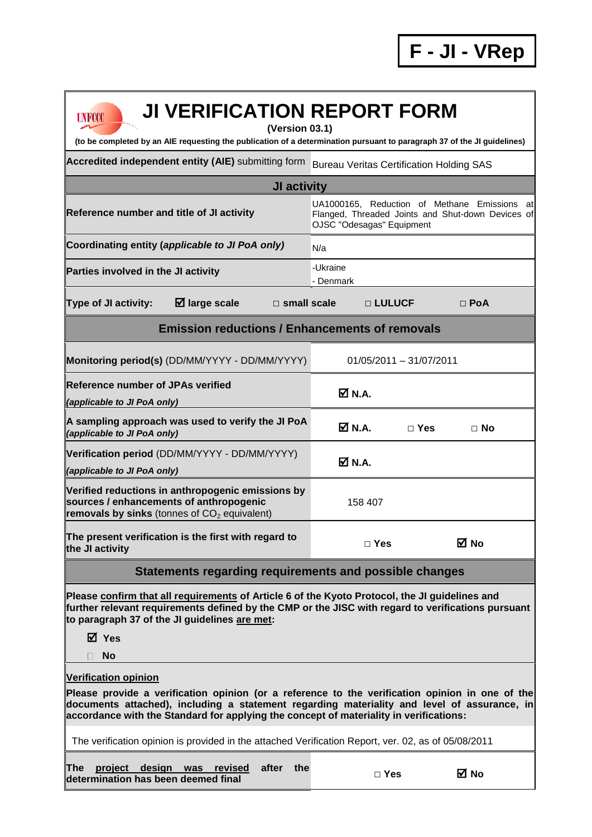| <b>JI VERIFICATION REPORT FORM</b><br><b>UNFCCC</b><br>(Version 03.1)<br>(to be completed by an AIE requesting the publication of a determination pursuant to paragraph 37 of the JI guidelines)                                                                                                                        |                                                                                                                                    |  |  |  |  |  |
|-------------------------------------------------------------------------------------------------------------------------------------------------------------------------------------------------------------------------------------------------------------------------------------------------------------------------|------------------------------------------------------------------------------------------------------------------------------------|--|--|--|--|--|
| Accredited independent entity (AIE) submitting form                                                                                                                                                                                                                                                                     | <b>Bureau Veritas Certification Holding SAS</b>                                                                                    |  |  |  |  |  |
| <b>JI activity</b>                                                                                                                                                                                                                                                                                                      |                                                                                                                                    |  |  |  |  |  |
| Reference number and title of JI activity                                                                                                                                                                                                                                                                               | UA1000165, Reduction of Methane Emissions<br>atl<br>Flanged, Threaded Joints and Shut-down Devices of<br>OJSC "Odesagas" Equipment |  |  |  |  |  |
| Coordinating entity (applicable to JI PoA only)                                                                                                                                                                                                                                                                         | N/a                                                                                                                                |  |  |  |  |  |
| Parties involved in the JI activity                                                                                                                                                                                                                                                                                     | -Ukraine<br>- Denmark                                                                                                              |  |  |  |  |  |
| $\boxtimes$ large scale<br><b>Type of JI activity:</b><br>$\square$ small scale                                                                                                                                                                                                                                         | □ LULUCF<br>$\Box$ PoA                                                                                                             |  |  |  |  |  |
| <b>Emission reductions / Enhancements of removals</b>                                                                                                                                                                                                                                                                   |                                                                                                                                    |  |  |  |  |  |
| Monitoring period(s) (DD/MM/YYYY - DD/MM/YYYY)                                                                                                                                                                                                                                                                          | 01/05/2011 - 31/07/2011                                                                                                            |  |  |  |  |  |
| <b>Reference number of JPAs verified</b><br>(applicable to JI PoA only)                                                                                                                                                                                                                                                 | M N.A.                                                                                                                             |  |  |  |  |  |
| A sampling approach was used to verify the JI PoA<br>(applicable to JI PoA only)                                                                                                                                                                                                                                        | M N.A.<br>$\Box$ Yes<br>$\Box$ No                                                                                                  |  |  |  |  |  |
| Verification period (DD/MM/YYYY - DD/MM/YYYY)<br>(applicable to JI PoA only)                                                                                                                                                                                                                                            | M N.A.                                                                                                                             |  |  |  |  |  |
| Verified reductions in anthropogenic emissions by<br>sources / enhancements of anthropogenic<br>removals by sinks (tonnes of $CO2$ equivalent)                                                                                                                                                                          | 158 407                                                                                                                            |  |  |  |  |  |
| The present verification is the first with regard to<br>the JI activity                                                                                                                                                                                                                                                 | ⊠ No<br>$\Box$ Yes                                                                                                                 |  |  |  |  |  |
| <b>Statements regarding requirements and possible changes</b>                                                                                                                                                                                                                                                           |                                                                                                                                    |  |  |  |  |  |
| Please confirm that all requirements of Article 6 of the Kyoto Protocol, the JI guidelines and<br>further relevant requirements defined by the CMP or the JISC with regard to verifications pursuant<br>to paragraph 37 of the JI guidelines are met:<br>⊠ Yes                                                          |                                                                                                                                    |  |  |  |  |  |
| <b>No</b><br>H                                                                                                                                                                                                                                                                                                          |                                                                                                                                    |  |  |  |  |  |
| <b>Verification opinion</b><br>Please provide a verification opinion (or a reference to the verification opinion in one of the<br>documents attached), including a statement regarding materiality and level of assurance, in<br>accordance with the Standard for applying the concept of materiality in verifications: |                                                                                                                                    |  |  |  |  |  |
| The verification opinion is provided in the attached Verification Report, ver. 02, as of 05/08/2011                                                                                                                                                                                                                     |                                                                                                                                    |  |  |  |  |  |
| design was revised<br>after<br>The<br><u>project</u><br>the<br>determination has been deemed final                                                                                                                                                                                                                      | ⊠ No<br>$\Box$ Yes                                                                                                                 |  |  |  |  |  |